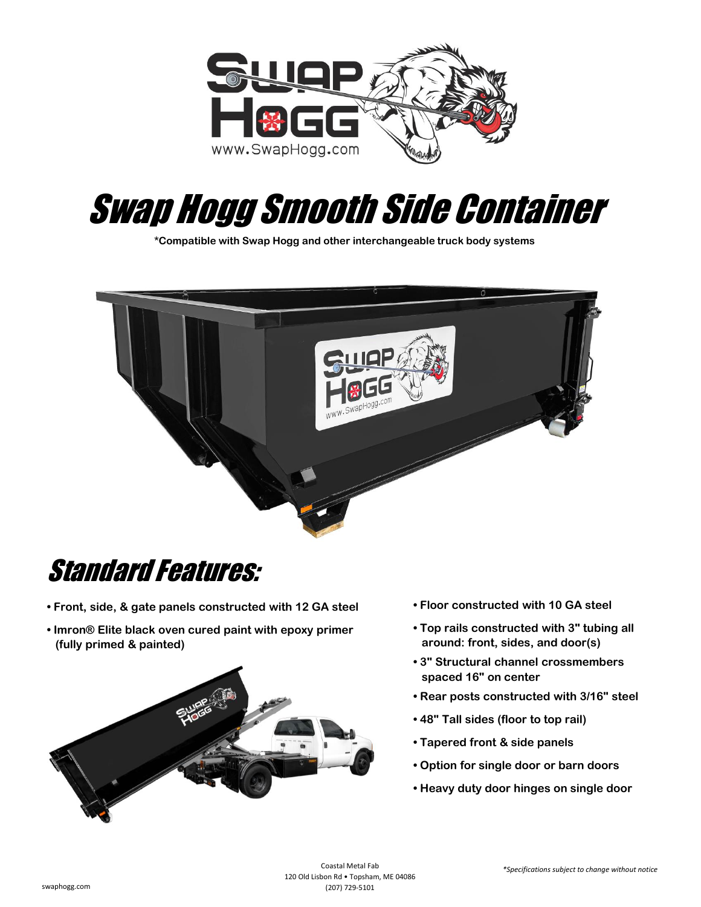

## Swap Hogg Smooth Side Container

**\*Compatible with Swap Hogg and other interchangeable truck body systems**



## Standard Features:

- **Front, side, & gate panels constructed with 12 GA steel**
- **Imron® Elite black oven cured paint with epoxy primer (fully primed & painted)**



- **Floor constructed with 10 GA steel**
- **Top rails constructed with 3" tubing all around: front, sides, and door(s)**
- **3" Structural channel crossmembers spaced 16" on center**
- **Rear posts constructed with 3/16" steel**
- **48" Tall sides (floor to top rail)**
- **Tapered front & side panels**
- **Option for single door or barn doors**
- **Heavy duty door hinges on single door**